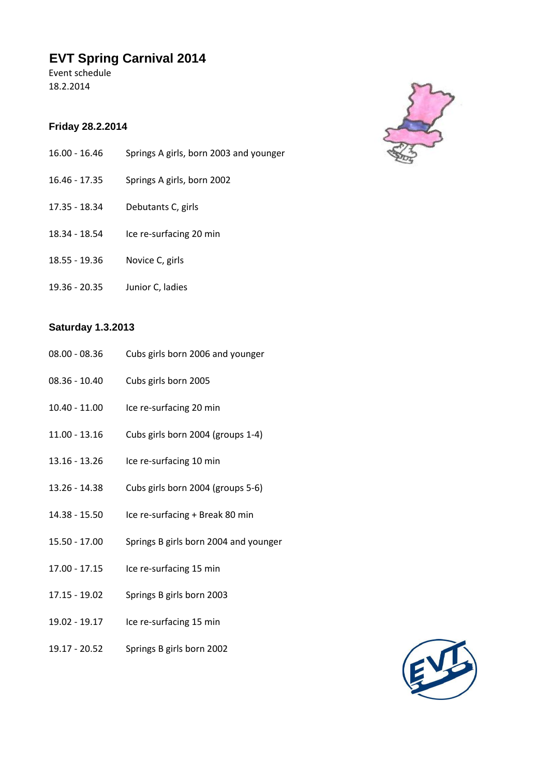## **EVT Spring Carnival 2014**

Event schedule 18.2.2014

## **Friday 28.2.2014**

- 16.00 16.46 Springs A girls, born 2003 and younger
- 16.46 17.35 Springs A girls, born 2002
- 17.35 18.34 Debutants C, girls
- 18.34 18.54 Ice re-surfacing 20 min
- 18.55 19.36 Novice C, girls
- 19.36 20.35 Junior C, ladies

## **Saturday 1.3.2013**

- 08.00 08.36 Cubs girls born 2006 and younger
- 08.36 10.40 Cubs girls born 2005
- 10.40 11.00 Ice re-surfacing 20 min
- 11.00 13.16 Cubs girls born 2004 (groups 1-4)
- 13.16 13.26 Ice re-surfacing 10 min
- 13.26 14.38 Cubs girls born 2004 (groups 5-6)
- 14.38 15.50 Ice re-surfacing + Break 80 min
- 15.50 17.00 Springs B girls born 2004 and younger
- 17.00 17.15 Ice re-surfacing 15 min
- 17.15 19.02 Springs B girls born 2003
- 19.02 19.17 Ice re-surfacing 15 min
- 19.17 20.52 Springs B girls born 2002